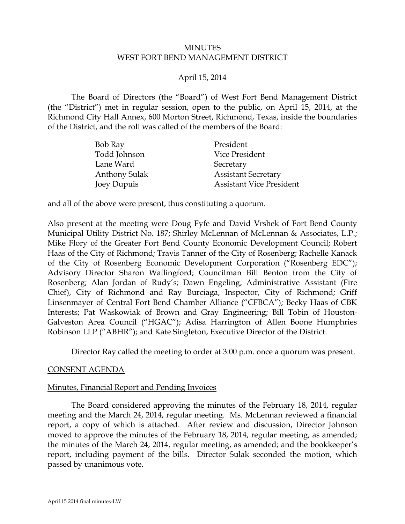#### **MINUTES** WEST FORT BEND MANAGEMENT DISTRICT

## April 15, 2014

The Board of Directors (the "Board") of West Fort Bend Management District (the "District") met in regular session, open to the public, on April 15, 2014, at the Richmond City Hall Annex, 600 Morton Street, Richmond, Texas, inside the boundaries of the District, and the roll was called of the members of the Board:

| Bob Ray              | President                       |
|----------------------|---------------------------------|
| Todd Johnson         | Vice President                  |
| Lane Ward            | Secretary                       |
| <b>Anthony Sulak</b> | <b>Assistant Secretary</b>      |
| Joey Dupuis          | <b>Assistant Vice President</b> |

and all of the above were present, thus constituting a quorum.

Also present at the meeting were Doug Fyfe and David Vrshek of Fort Bend County Municipal Utility District No. 187; Shirley McLennan of McLennan & Associates, L.P.; Mike Flory of the Greater Fort Bend County Economic Development Council; Robert Haas of the City of Richmond; Travis Tanner of the City of Rosenberg; Rachelle Kanack of the City of Rosenberg Economic Development Corporation ("Rosenberg EDC"); Advisory Director Sharon Wallingford; Councilman Bill Benton from the City of Rosenberg; Alan Jordan of Rudy's; Dawn Engeling, Administrative Assistant (Fire Chief), City of Richmond and Ray Burciaga, Inspector, City of Richmond; Griff Linsenmayer of Central Fort Bend Chamber Alliance ("CFBCA"); Becky Haas of CBK Interests; Pat Waskowiak of Brown and Gray Engineering; Bill Tobin of Houston-Galveston Area Council ("HGAC"); Adisa Harrington of Allen Boone Humphries Robinson LLP ("ABHR"); and Kate Singleton, Executive Director of the District.

Director Ray called the meeting to order at 3:00 p.m. once a quorum was present.

#### CONSENT AGENDA

#### Minutes, Financial Report and Pending Invoices

<span id="page-0-0"></span>The Board considered approving the minutes of the February 18, 2014, regular meeting and the March 24, 2014, regular meeting. Ms. McLennan reviewed a financial report, a copy of which is attached. After review and discussion, Director Johnson moved to approve the minutes of the February 18, 2014, regular meeting, as amended; the minutes of the March 24, 2014, regular meeting, as amended; and the bookkeeper's report, including payment of the bills. Director Sulak seconded the motion, which passed by unanimous vote.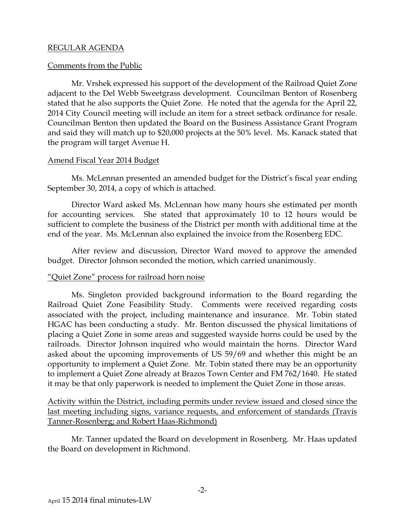#### REGULAR AGENDA

## Comments from the Public

Mr. Vrshek expressed his support of the development of the Railroad Quiet Zone adjacent to the Del Webb Sweetgrass development. Councilman Benton of Rosenberg stated that he also supports the Quiet Zone. He noted that the agenda for the April 22, 2014 City Council meeting will include an item for a street setback ordinance for resale. Councilman Benton then updated the Board on the Business Assistance Grant Program and said they will match up to \$20,000 projects at the 50% level. Ms. Kanack stated that the program will target Avenue H.

## Amend Fiscal Year 2014 Budget

<span id="page-1-0"></span>Ms. McLennan presented an amended budget for the District's fiscal year ending September 30, 2014, a copy of which is attached.

Director Ward asked Ms. McLennan how many hours she estimated per month for accounting services. She stated that approximately 10 to 12 hours would be sufficient to complete the business of the District per month with additional time at the end of the year. Ms. McLennan also explained the invoice from the Rosenberg EDC.

After review and discussion, Director Ward moved to approve the amended budget. Director Johnson seconded the motion, which carried unanimously.

#### "Quiet Zone" process for railroad horn noise

Ms. Singleton provided background information to the Board regarding the Railroad Quiet Zone Feasibility Study. Comments were received regarding costs associated with the project, including maintenance and insurance. Mr. Tobin stated HGAC has been conducting a study. Mr. Benton discussed the physical limitations of placing a Quiet Zone in some areas and suggested wayside horns could be used by the railroads. Director Johnson inquired who would maintain the horns. Director Ward asked about the upcoming improvements of US 59/69 and whether this might be an opportunity to implement a Quiet Zone. Mr. Tobin stated there may be an opportunity to implement a Quiet Zone already at Brazos Town Center and FM 762/1640. He stated it may be that only paperwork is needed to implement the Quiet Zone in those areas.

Activity within the District, including permits under review issued and closed since the last meeting including signs, variance requests, and enforcement of standards (Travis Tanner-Rosenberg; and Robert Haas-Richmond)

Mr. Tanner updated the Board on development in Rosenberg. Mr. Haas updated the Board on development in Richmond.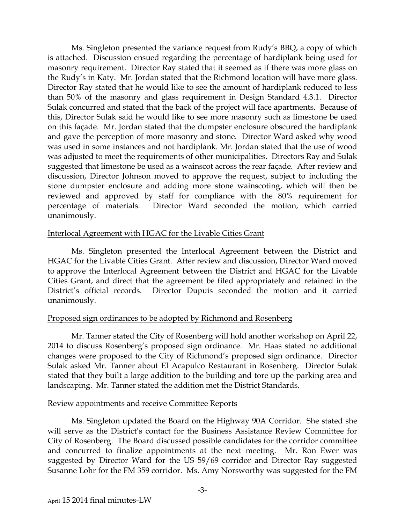<span id="page-2-0"></span>Ms. Singleton presented the variance request from Rudy's BBQ, a copy of which is attached. Discussion ensued regarding the percentage of hardiplank being used for masonry requirement. Director Ray stated that it seemed as if there was more glass on the Rudy's in Katy. Mr. Jordan stated that the Richmond location will have more glass. Director Ray stated that he would like to see the amount of hardiplank reduced to less than 50% of the masonry and glass requirement in Design Standard 4.3.1. Director Sulak concurred and stated that the back of the project will face apartments. Because of this, Director Sulak said he would like to see more masonry such as limestone be used on this façade. Mr. Jordan stated that the dumpster enclosure obscured the hardiplank and gave the perception of more masonry and stone. Director Ward asked why wood was used in some instances and not hardiplank. Mr. Jordan stated that the use of wood was adjusted to meet the requirements of other municipalities. Directors Ray and Sulak suggested that limestone be used as a wainscot across the rear façade. After review and discussion, Director Johnson moved to approve the request, subject to including the stone dumpster enclosure and adding more stone wainscoting, which will then be reviewed and approved by staff for compliance with the 80% requirement for percentage of materials. Director Ward seconded the motion, which carried unanimously.

#### Interlocal Agreement with HGAC for the Livable Cities Grant

Ms. Singleton presented the Interlocal Agreement between the District and HGAC for the Livable Cities Grant. After review and discussion, Director Ward moved to approve the Interlocal Agreement between the District and HGAC for the Livable Cities Grant, and direct that the agreement be filed appropriately and retained in the District's official records. Director Dupuis seconded the motion and it carried unanimously.

#### Proposed sign ordinances to be adopted by Richmond and Rosenberg

Mr. Tanner stated the City of Rosenberg will hold another workshop on April 22, 2014 to discuss Rosenberg's proposed sign ordinance. Mr. Haas stated no additional changes were proposed to the City of Richmond's proposed sign ordinance. Director Sulak asked Mr. Tanner about El Acapulco Restaurant in Rosenberg. Director Sulak stated that they built a large addition to the building and tore up the parking area and landscaping. Mr. Tanner stated the addition met the District Standards.

#### Review appointments and receive Committee Reports

Ms. Singleton updated the Board on the Highway 90A Corridor. She stated she will serve as the District's contact for the Business Assistance Review Committee for City of Rosenberg. The Board discussed possible candidates for the corridor committee and concurred to finalize appointments at the next meeting. Mr. Ron Ewer was suggested by Director Ward for the US 59/69 corridor and Director Ray suggested Susanne Lohr for the FM 359 corridor. Ms. Amy Norsworthy was suggested for the FM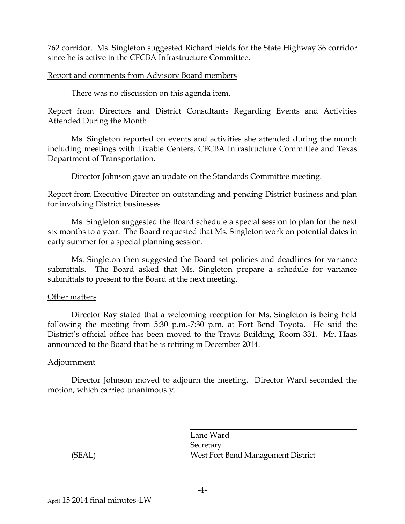762 corridor. Ms. Singleton suggested Richard Fields for the State Highway 36 corridor since he is active in the CFCBA Infrastructure Committee.

## Report and comments from Advisory Board members

There was no discussion on this agenda item.

# Report from Directors and District Consultants Regarding Events and Activities Attended During the Month

Ms. Singleton reported on events and activities she attended during the month including meetings with Livable Centers, CFCBA Infrastructure Committee and Texas Department of Transportation.

Director Johnson gave an update on the Standards Committee meeting.

## Report from Executive Director on outstanding and pending District business and plan for involving District businesses

Ms. Singleton suggested the Board schedule a special session to plan for the next six months to a year. The Board requested that Ms. Singleton work on potential dates in early summer for a special planning session.

Ms. Singleton then suggested the Board set policies and deadlines for variance submittals. The Board asked that Ms. Singleton prepare a schedule for variance submittals to present to the Board at the next meeting.

#### Other matters

Director Ray stated that a welcoming reception for Ms. Singleton is being held following the meeting from 5:30 p.m.-7:30 p.m. at Fort Bend Toyota. He said the District's official office has been moved to the Travis Building, Room 331. Mr. Haas announced to the Board that he is retiring in December 2014.

# Adjournment

Director Johnson moved to adjourn the meeting. Director Ward seconded the motion, which carried unanimously.

Lane Ward **Secretary** (SEAL) West Fort Bend Management District